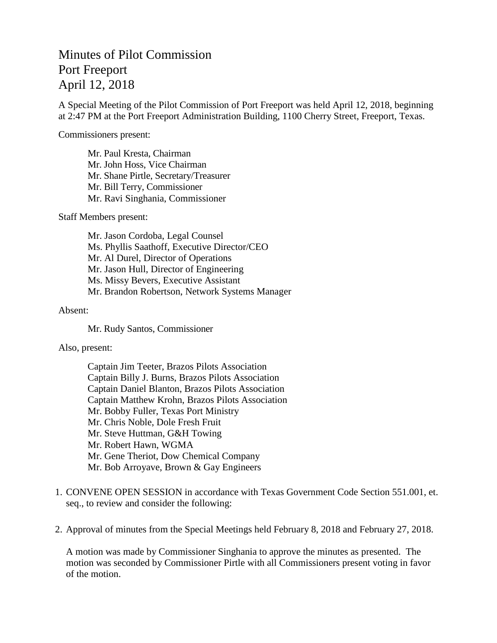## Minutes of Pilot Commission Port Freeport April 12, 2018

A Special Meeting of the Pilot Commission of Port Freeport was held April 12, 2018, beginning at 2:47 PM at the Port Freeport Administration Building, 1100 Cherry Street, Freeport, Texas.

Commissioners present:

Mr. Paul Kresta, Chairman Mr. John Hoss, Vice Chairman Mr. Shane Pirtle, Secretary/Treasurer Mr. Bill Terry, Commissioner Mr. Ravi Singhania, Commissioner

Staff Members present:

Mr. Jason Cordoba, Legal Counsel Ms. Phyllis Saathoff, Executive Director/CEO Mr. Al Durel, Director of Operations Mr. Jason Hull, Director of Engineering Ms. Missy Bevers, Executive Assistant Mr. Brandon Robertson, Network Systems Manager

## Absent:

Mr. Rudy Santos, Commissioner

## Also, present:

Captain Jim Teeter, Brazos Pilots Association Captain Billy J. Burns, Brazos Pilots Association Captain Daniel Blanton, Brazos Pilots Association Captain Matthew Krohn, Brazos Pilots Association Mr. Bobby Fuller, Texas Port Ministry Mr. Chris Noble, Dole Fresh Fruit Mr. Steve Huttman, G&H Towing Mr. Robert Hawn, WGMA Mr. Gene Theriot, Dow Chemical Company Mr. Bob Arroyave, Brown & Gay Engineers

- 1. CONVENE OPEN SESSION in accordance with Texas Government Code Section 551.001, et. seq., to review and consider the following:
- 2. Approval of minutes from the Special Meetings held February 8, 2018 and February 27, 2018.

A motion was made by Commissioner Singhania to approve the minutes as presented. The motion was seconded by Commissioner Pirtle with all Commissioners present voting in favor of the motion.